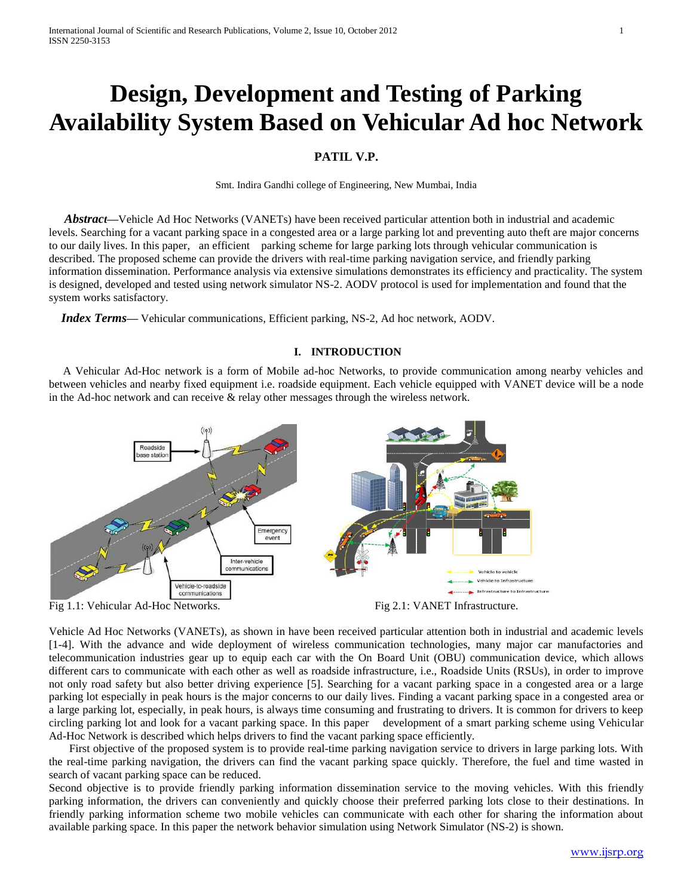# **Design, Development and Testing of Parking Availability System Based on Vehicular Ad hoc Network**

# **PATIL V.P.**

Smt. Indira Gandhi college of Engineering, New Mumbai, India

 *Abstract***—**Vehicle Ad Hoc Networks (VANETs) have been received particular attention both in industrial and academic levels. Searching for a vacant parking space in a congested area or a large parking lot and preventing auto theft are major concerns to our daily lives. In this paper, an efficient parking scheme for large parking lots through vehicular communication is described. The proposed scheme can provide the drivers with real-time parking navigation service, and friendly parking information dissemination. Performance analysis via extensive simulations demonstrates its efficiency and practicality. The system is designed, developed and tested using network simulator NS-2. AODV protocol is used for implementation and found that the system works satisfactory.

*Index Terms***—** Vehicular communications, Efficient parking, NS-2, Ad hoc network, AODV.

#### **I. INTRODUCTION**

 A Vehicular Ad-Hoc network is a form of Mobile ad-hoc Networks, to provide communication among nearby vehicles and between vehicles and nearby fixed equipment i.e. roadside equipment. Each vehicle equipped with VANET device will be a node in the Ad-hoc network and can receive & relay other messages through the wireless network.



Vehicle Ad Hoc Networks (VANETs), as shown in have been received particular attention both in industrial and academic levels [1-4]. With the advance and wide deployment of wireless communication technologies, many major car manufactories and telecommunication industries gear up to equip each car with the On Board Unit (OBU) communication device, which allows different cars to communicate with each other as well as roadside infrastructure, i.e., Roadside Units (RSUs), in order to improve not only road safety but also better driving experience [5]. Searching for a vacant parking space in a congested area or a large parking lot especially in peak hours is the major concerns to our daily lives. Finding a vacant parking space in a congested area or a large parking lot, especially, in peak hours, is always time consuming and frustrating to drivers. It is common for drivers to keep circling parking lot and look for a vacant parking space. In this paper development of a smart parking scheme using Vehicular Ad-Hoc Network is described which helps drivers to find the vacant parking space efficiently.

First objective of the proposed system is to provide real-time parking navigation service to drivers in large parking lots. With the real-time parking navigation, the drivers can find the vacant parking space quickly. Therefore, the fuel and time wasted in search of vacant parking space can be reduced.

Second objective is to provide friendly parking information dissemination service to the moving vehicles. With this friendly parking information, the drivers can conveniently and quickly choose their preferred parking lots close to their destinations. In friendly parking information scheme two mobile vehicles can communicate with each other for sharing the information about available parking space. In this paper the network behavior simulation using Network Simulator (NS-2) is shown.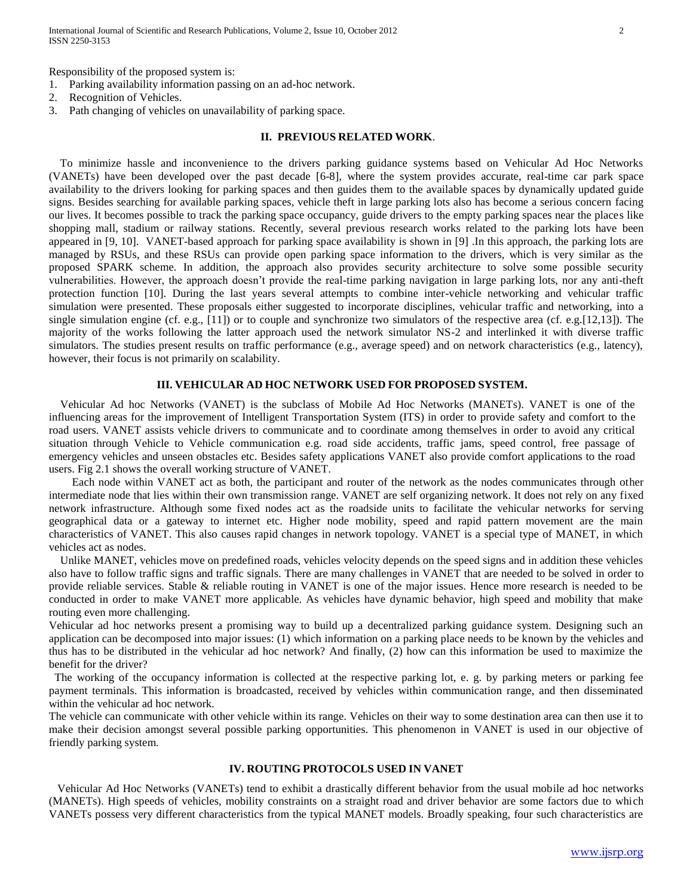Responsibility of the proposed system is:

- 1. Parking availability information passing on an ad-hoc network.
- 2. Recognition of Vehicles.
- 3. Path changing of vehicles on unavailability of parking space.

## **II. PREVIOUS RELATED WORK**.

 To minimize hassle and inconvenience to the drivers parking guidance systems based on Vehicular Ad Hoc Networks (VANETs) have been developed over the past decade [6-8], where the system provides accurate, real-time car park space availability to the drivers looking for parking spaces and then guides them to the available spaces by dynamically updated guide signs. Besides searching for available parking spaces, vehicle theft in large parking lots also has become a serious concern facing our lives. It becomes possible to track the parking space occupancy, guide drivers to the empty parking spaces near the places like shopping mall, stadium or railway stations. Recently, several previous research works related to the parking lots have been appeared in [9, 10]. VANET-based approach for parking space availability is shown in [9] .In this approach, the parking lots are managed by RSUs, and these RSUs can provide open parking space information to the drivers, which is very similar as the proposed SPARK scheme. In addition, the approach also provides security architecture to solve some possible security vulnerabilities. However, the approach doesn't provide the real-time parking navigation in large parking lots, nor any anti-theft protection function [10]. During the last years several attempts to combine inter-vehicle networking and vehicular traffic simulation were presented. These proposals either suggested to incorporate disciplines, vehicular traffic and networking, into a single simulation engine (cf. e.g.,  $[11]$ ) or to couple and synchronize two simulators of the respective area (cf. e.g. [12,13]). The majority of the works following the latter approach used the network simulator NS-2 and interlinked it with diverse traffic simulators. The studies present results on traffic performance (e.g., average speed) and on network characteristics (e.g., latency), however, their focus is not primarily on scalability.

#### **III. VEHICULAR AD HOC NETWORK USED FOR PROPOSED SYSTEM.**

 Vehicular Ad hoc Networks (VANET) is the subclass of Mobile Ad Hoc Networks (MANETs). VANET is one of the influencing areas for the improvement of Intelligent Transportation System (ITS) in order to provide safety and comfort to the road users. VANET assists vehicle drivers to communicate and to coordinate among themselves in order to avoid any critical situation through Vehicle to Vehicle communication e.g. road side accidents, traffic jams, speed control, free passage of emergency vehicles and unseen obstacles etc. Besides safety applications VANET also provide comfort applications to the road users. Fig 2.1 shows the overall working structure of VANET.

Each node within VANET act as both, the participant and router of the network as the nodes communicates through other intermediate node that lies within their own transmission range. VANET are self organizing network. It does not rely on any fixed network infrastructure. Although some fixed nodes act as the roadside units to facilitate the vehicular networks for serving geographical data or a gateway to internet etc. Higher node mobility, speed and rapid pattern movement are the main characteristics of VANET. This also causes rapid changes in network topology. VANET is a special type of MANET, in which vehicles act as nodes.

 Unlike MANET, vehicles move on predefined roads, vehicles velocity depends on the speed signs and in addition these vehicles also have to follow traffic signs and traffic signals. There are many challenges in VANET that are needed to be solved in order to provide reliable services. Stable & reliable routing in VANET is one of the major issues. Hence more research is needed to be conducted in order to make VANET more applicable. As vehicles have dynamic behavior, high speed and mobility that make routing even more challenging.

Vehicular ad hoc networks present a promising way to build up a decentralized parking guidance system. Designing such an application can be decomposed into major issues: (1) which information on a parking place needs to be known by the vehicles and thus has to be distributed in the vehicular ad hoc network? And finally, (2) how can this information be used to maximize the benefit for the driver?

 The working of the occupancy information is collected at the respective parking lot, e. g. by parking meters or parking fee payment terminals. This information is broadcasted, received by vehicles within communication range, and then disseminated within the vehicular ad hoc network.

The vehicle can communicate with other vehicle within its range. Vehicles on their way to some destination area can then use it to make their decision amongst several possible parking opportunities. This phenomenon in VANET is used in our objective of friendly parking system.

#### **IV. ROUTING PROTOCOLS USED IN VANET**

 Vehicular Ad Hoc Networks (VANETs) tend to exhibit a drastically different behavior from the usual mobile ad hoc networks (MANETs). High speeds of vehicles, mobility constraints on a straight road and driver behavior are some factors due to which VANETs possess very different characteristics from the typical MANET models. Broadly speaking, four such characteristics are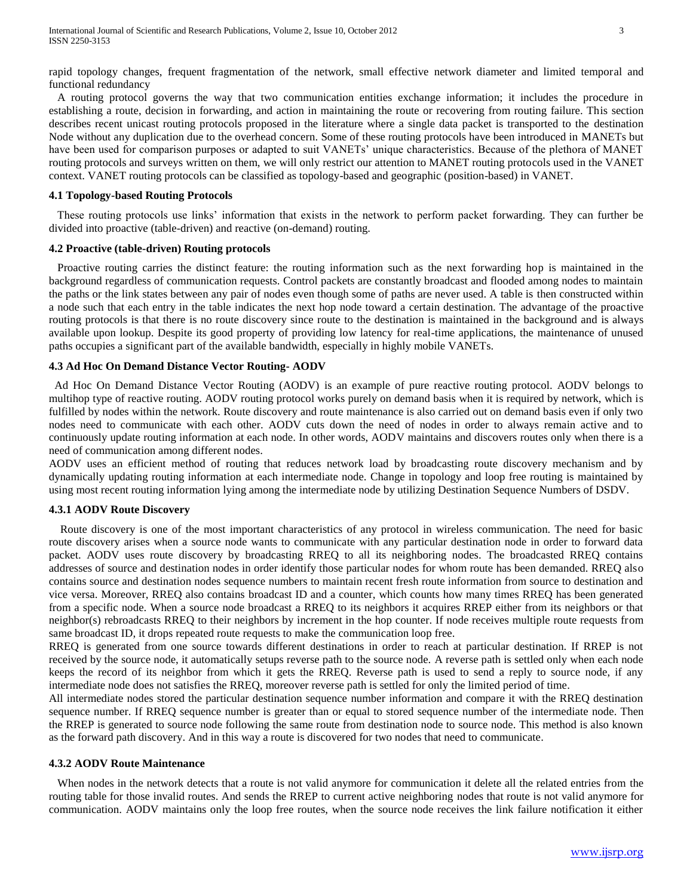rapid topology changes, frequent fragmentation of the network, small effective network diameter and limited temporal and functional redundancy

 A routing protocol governs the way that two communication entities exchange information; it includes the procedure in establishing a route, decision in forwarding, and action in maintaining the route or recovering from routing failure. This section describes recent unicast routing protocols proposed in the literature where a single data packet is transported to the destination Node without any duplication due to the overhead concern. Some of these routing protocols have been introduced in MANETs but have been used for comparison purposes or adapted to suit VANETs' unique characteristics. Because of the plethora of MANET routing protocols and surveys written on them, we will only restrict our attention to MANET routing protocols used in the VANET context. VANET routing protocols can be classified as topology-based and geographic (position-based) in VANET.

# **4.1 Topology-based Routing Protocols**

 These routing protocols use links' information that exists in the network to perform packet forwarding. They can further be divided into proactive (table-driven) and reactive (on-demand) routing.

# **4.2 Proactive (table-driven) Routing protocols**

 Proactive routing carries the distinct feature: the routing information such as the next forwarding hop is maintained in the background regardless of communication requests. Control packets are constantly broadcast and flooded among nodes to maintain the paths or the link states between any pair of nodes even though some of paths are never used. A table is then constructed within a node such that each entry in the table indicates the next hop node toward a certain destination. The advantage of the proactive routing protocols is that there is no route discovery since route to the destination is maintained in the background and is always available upon lookup. Despite its good property of providing low latency for real-time applications, the maintenance of unused paths occupies a significant part of the available bandwidth, especially in highly mobile VANETs.

#### **4.3 Ad Hoc On Demand Distance Vector Routing- AODV**

 Ad Hoc On Demand Distance Vector Routing (AODV) is an example of pure reactive routing protocol. AODV belongs to multihop type of reactive routing. AODV routing protocol works purely on demand basis when it is required by network, which is fulfilled by nodes within the network. Route discovery and route maintenance is also carried out on demand basis even if only two nodes need to communicate with each other. AODV cuts down the need of nodes in order to always remain active and to continuously update routing information at each node. In other words, AODV maintains and discovers routes only when there is a need of communication among different nodes.

AODV uses an efficient method of routing that reduces network load by broadcasting route discovery mechanism and by dynamically updating routing information at each intermediate node. Change in topology and loop free routing is maintained by using most recent routing information lying among the intermediate node by utilizing Destination Sequence Numbers of DSDV.

#### **4.3.1 AODV Route Discovery**

 Route discovery is one of the most important characteristics of any protocol in wireless communication. The need for basic route discovery arises when a source node wants to communicate with any particular destination node in order to forward data packet. AODV uses route discovery by broadcasting RREQ to all its neighboring nodes. The broadcasted RREQ contains addresses of source and destination nodes in order identify those particular nodes for whom route has been demanded. RREQ also contains source and destination nodes sequence numbers to maintain recent fresh route information from source to destination and vice versa. Moreover, RREQ also contains broadcast ID and a counter, which counts how many times RREQ has been generated from a specific node. When a source node broadcast a RREQ to its neighbors it acquires RREP either from its neighbors or that neighbor(s) rebroadcasts RREQ to their neighbors by increment in the hop counter. If node receives multiple route requests from same broadcast ID, it drops repeated route requests to make the communication loop free.

RREQ is generated from one source towards different destinations in order to reach at particular destination. If RREP is not received by the source node, it automatically setups reverse path to the source node. A reverse path is settled only when each node keeps the record of its neighbor from which it gets the RREQ. Reverse path is used to send a reply to source node, if any intermediate node does not satisfies the RREQ, moreover reverse path is settled for only the limited period of time.

All intermediate nodes stored the particular destination sequence number information and compare it with the RREQ destination sequence number. If RREQ sequence number is greater than or equal to stored sequence number of the intermediate node. Then the RREP is generated to source node following the same route from destination node to source node. This method is also known as the forward path discovery. And in this way a route is discovered for two nodes that need to communicate.

#### **4.3.2 AODV Route Maintenance**

 When nodes in the network detects that a route is not valid anymore for communication it delete all the related entries from the routing table for those invalid routes. And sends the RREP to current active neighboring nodes that route is not valid anymore for communication. AODV maintains only the loop free routes, when the source node receives the link failure notification it either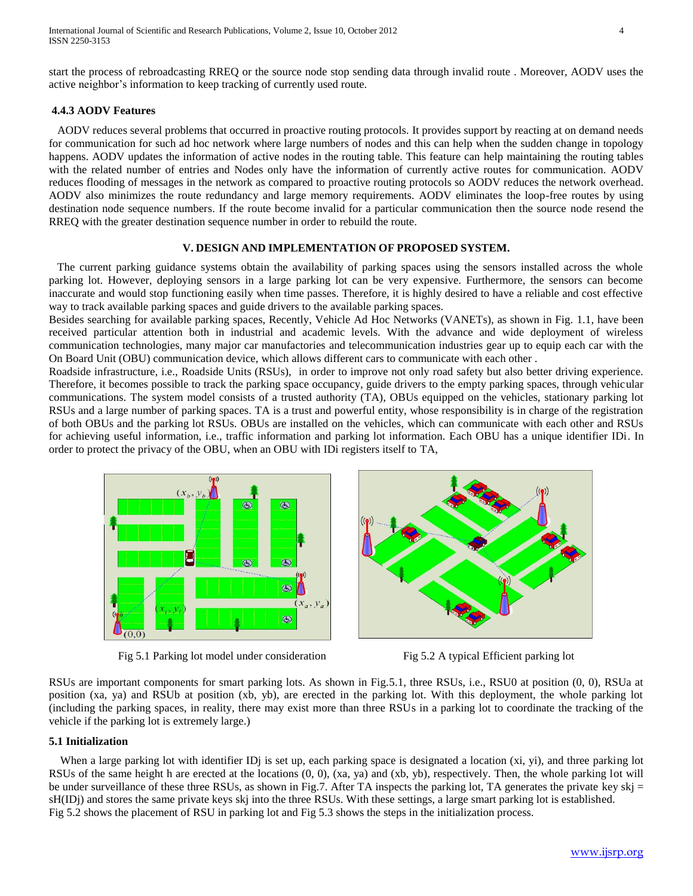start the process of rebroadcasting RREQ or the source node stop sending data through invalid route . Moreover, AODV uses the active neighbor's information to keep tracking of currently used route.

# **4.4.3 AODV Features**

AODV reduces several problems that occurred in proactive routing protocols. It provides support by reacting at on demand needs for communication for such ad hoc network where large numbers of nodes and this can help when the sudden change in topology happens. AODV updates the information of active nodes in the routing table. This feature can help maintaining the routing tables with the related number of entries and Nodes only have the information of currently active routes for communication. AODV reduces flooding of messages in the network as compared to proactive routing protocols so AODV reduces the network overhead. AODV also minimizes the route redundancy and large memory requirements. AODV eliminates the loop-free routes by using destination node sequence numbers. If the route become invalid for a particular communication then the source node resend the RREQ with the greater destination sequence number in order to rebuild the route.

#### **V. DESIGN AND IMPLEMENTATION OF PROPOSED SYSTEM.**

 The current parking guidance systems obtain the availability of parking spaces using the sensors installed across the whole parking lot. However, deploying sensors in a large parking lot can be very expensive. Furthermore, the sensors can become inaccurate and would stop functioning easily when time passes. Therefore, it is highly desired to have a reliable and cost effective way to track available parking spaces and guide drivers to the available parking spaces.

Besides searching for available parking spaces, Recently, Vehicle Ad Hoc Networks (VANETs), as shown in Fig. 1.1, have been received particular attention both in industrial and academic levels. With the advance and wide deployment of wireless communication technologies, many major car manufactories and telecommunication industries gear up to equip each car with the On Board Unit (OBU) communication device, which allows different cars to communicate with each other .

Roadside infrastructure, i.e., Roadside Units (RSUs), in order to improve not only road safety but also better driving experience. Therefore, it becomes possible to track the parking space occupancy, guide drivers to the empty parking spaces, through vehicular communications. The system model consists of a trusted authority (TA), OBUs equipped on the vehicles, stationary parking lot RSUs and a large number of parking spaces. TA is a trust and powerful entity, whose responsibility is in charge of the registration of both OBUs and the parking lot RSUs. OBUs are installed on the vehicles, which can communicate with each other and RSUs for achieving useful information, i.e., traffic information and parking lot information. Each OBU has a unique identifier IDi. In order to protect the privacy of the OBU, when an OBU with IDi registers itself to TA,



Fig 5.1 Parking lot model under consideration Fig 5.2 A typical Efficient parking lot



RSUs are important components for smart parking lots. As shown in Fig.5.1, three RSUs, i.e., RSU0 at position (0, 0), RSUa at position (xa, ya) and RSUb at position (xb, yb), are erected in the parking lot. With this deployment, the whole parking lot (including the parking spaces, in reality, there may exist more than three RSUs in a parking lot to coordinate the tracking of the vehicle if the parking lot is extremely large.)

# **5.1 Initialization**

When a large parking lot with identifier IDj is set up, each parking space is designated a location (xi, yi), and three parking lot RSUs of the same height h are erected at the locations (0, 0), (xa, ya) and (xb, yb), respectively. Then, the whole parking lot will be under surveillance of these three RSUs, as shown in Fig.7. After TA inspects the parking lot, TA generates the private key skj = sH(IDj) and stores the same private keys skj into the three RSUs. With these settings, a large smart parking lot is established. Fig 5.2 shows the placement of RSU in parking lot and Fig 5.3 shows the steps in the initialization process.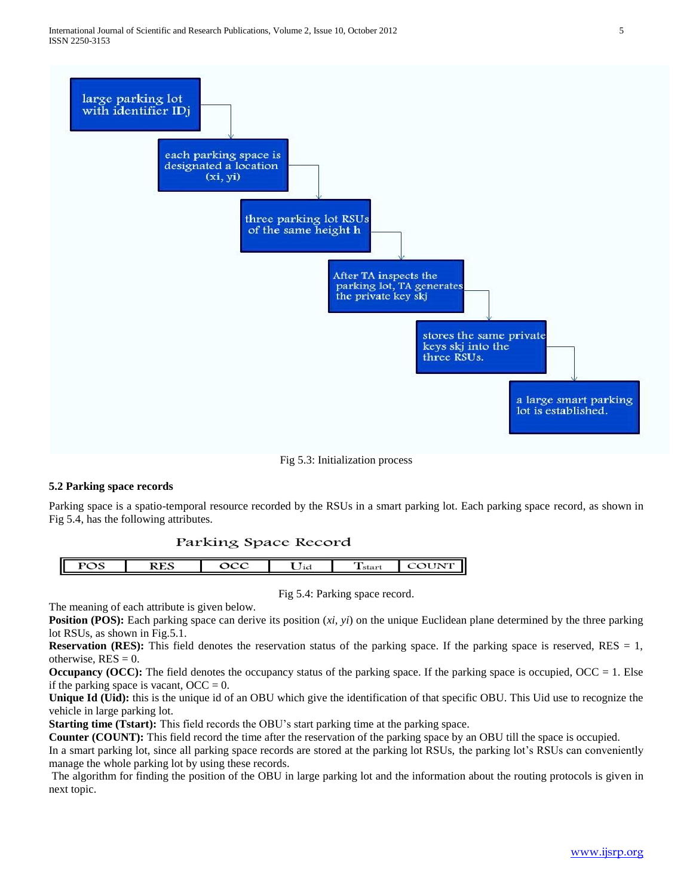

Fig 5.3: Initialization process

### **5.2 Parking space records**

Parking space is a spatio-temporal resource recorded by the RSUs in a smart parking lot. Each parking space record, as shown in Fig 5.4, has the following attributes.

# Parking Space Record



Fig 5.4: Parking space record.

The meaning of each attribute is given below.

**Position (POS):** Each parking space can derive its position (*xi, yi*) on the unique Euclidean plane determined by the three parking lot RSUs, as shown in Fig.5.1.

**Reservation (RES):** This field denotes the reservation status of the parking space. If the parking space is reserved, RES  $= 1$ , otherwise,  $RES = 0$ .

**Occupancy (OCC):** The field denotes the occupancy status of the parking space. If the parking space is occupied,  $OCC = 1$ . Else if the parking space is vacant,  $OCC = 0$ .

**Unique Id (Uid):** this is the unique id of an OBU which give the identification of that specific OBU. This Uid use to recognize the vehicle in large parking lot.

**Starting time (Tstart):** This field records the OBU's start parking time at the parking space.

**Counter (COUNT):** This field record the time after the reservation of the parking space by an OBU till the space is occupied.

In a smart parking lot, since all parking space records are stored at the parking lot RSUs, the parking lot's RSUs can conveniently manage the whole parking lot by using these records.

The algorithm for finding the position of the OBU in large parking lot and the information about the routing protocols is given in next topic.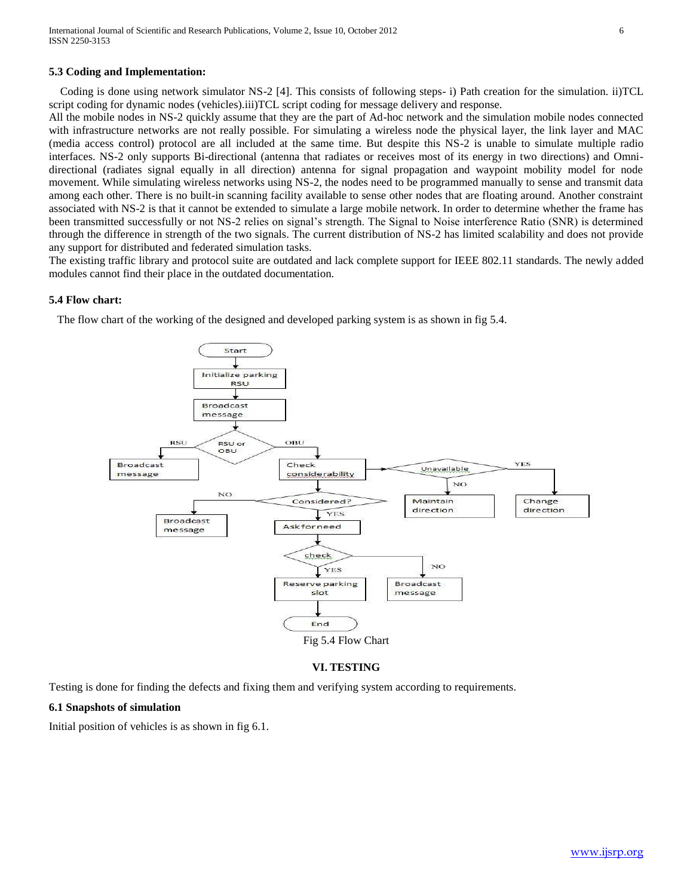#### **5.3 Coding and Implementation:**

 Coding is done using network simulator NS-2 [4]. This consists of following steps- i) Path creation for the simulation. ii)TCL script coding for dynamic nodes (vehicles).iii)TCL script coding for message delivery and response.

All the mobile nodes in NS-2 quickly assume that they are the part of Ad-hoc network and the simulation mobile nodes connected with infrastructure networks are not really possible. For simulating a wireless node the physical layer, the link layer and MAC (media access control) protocol are all included at the same time. But despite this NS-2 is unable to simulate multiple radio interfaces. NS-2 only supports Bi-directional (antenna that radiates or receives most of its energy in two directions) and Omnidirectional (radiates signal equally in all direction) antenna for signal propagation and waypoint mobility model for node movement. While simulating wireless networks using NS-2, the nodes need to be programmed manually to sense and transmit data among each other. There is no built-in scanning facility available to sense other nodes that are floating around. Another constraint associated with NS-2 is that it cannot be extended to simulate a large mobile network. In order to determine whether the frame has been transmitted successfully or not NS-2 relies on signal's strength. The Signal to Noise interference Ratio (SNR) is determined through the difference in strength of the two signals. The current distribution of NS-2 has limited scalability and does not provide any support for distributed and federated simulation tasks.

The existing traffic library and protocol suite are outdated and lack complete support for IEEE 802.11 standards. The newly added modules cannot find their place in the outdated documentation.

#### **5.4 Flow chart:**

The flow chart of the working of the designed and developed parking system is as shown in fig 5.4.



## **VI. TESTING**

Testing is done for finding the defects and fixing them and verifying system according to requirements.

#### **6.1 Snapshots of simulation**

Initial position of vehicles is as shown in fig 6.1.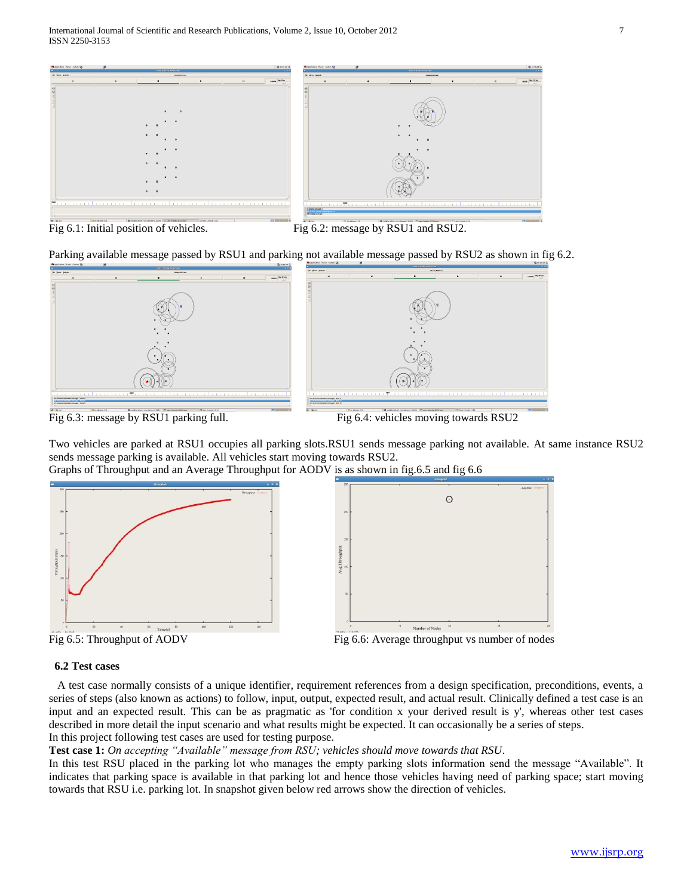

Fig 6.1: Initial position of vehicles. Fig 6.2: message by RSU1 and RSU2.

Parking available message passed by RSU1 and parking not available message passed by RSU2 as shown in fig 6.2.



Fig 6.3: message by RSU1 parking full. Fig 6.4: vehicles moving towards RSU2

Two vehicles are parked at RSU1 occupies all parking slots.RSU1 sends message parking not available. At same instance RSU2 sends message parking is available. All vehicles start moving towards RSU2.

Graphs of Throughput and an Average Throughput for AODV is as shown in fig.6.5 and fig 6.6





Fig 6.5: Throughput of AODV Fig 6.6: Average throughput vs number of nodes

# **6.2 Test cases**

 A [test case](http://en.wikipedia.org/wiki/Test_case) normally consists of a unique identifier, requirement references from a design specification, preconditions, events, a series of steps (also known as actions) to follow, input, output, expected result, and actual result. Clinically defined a test case is an input and an expected result. This can be as pragmatic as 'for condition x your derived result is y', whereas other test cases described in more detail the input scenario and what results might be expected. It can occasionally be a series of steps. In this project following test cases are used for testing purpose.

# **Test case 1:** *On accepting "Available" message from RSU; vehicles should move towards that RSU*.

In this test RSU placed in the parking lot who manages the empty parking slots information send the message "Available". It indicates that parking space is available in that parking lot and hence those vehicles having need of parking space; start moving towards that RSU i.e. parking lot. In snapshot given below red arrows show the direction of vehicles.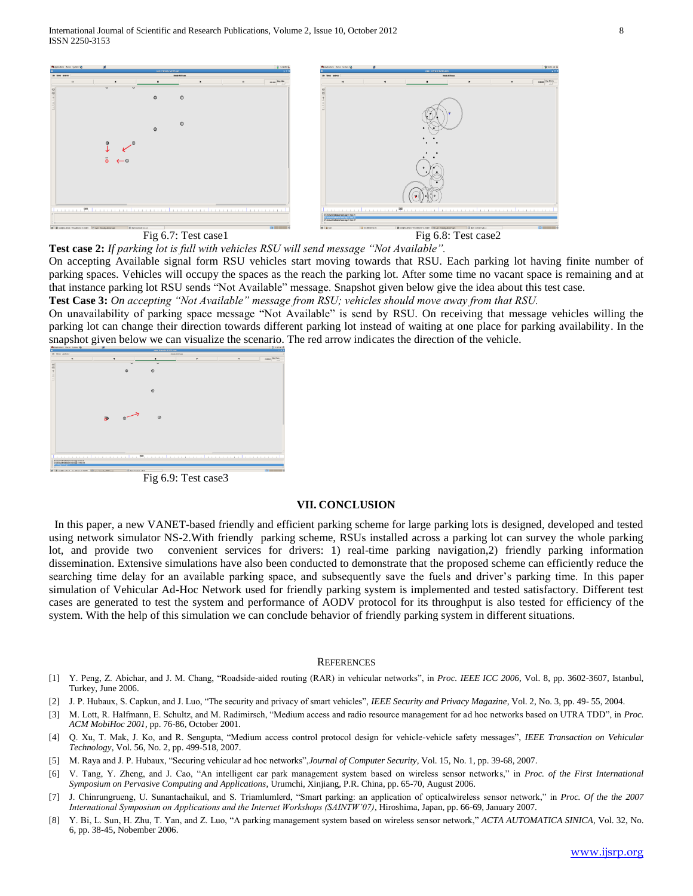International Journal of Scientific and Research Publications, Volume 2, Issue 10, October 2012 8 ISSN 2250-3153



**Test case 2:** *If parking lot is full with vehicles RSU will send message "Not Available".*

On accepting Available signal form RSU vehicles start moving towards that RSU. Each parking lot having finite number of parking spaces. Vehicles will occupy the spaces as the reach the parking lot. After some time no vacant space is remaining and at that instance parking lot RSU sends "Not Available" message. Snapshot given below give the idea about this test case.

**Test Case 3:** *On accepting "Not Available" message from RSU; vehicles should move away from that RSU.*

On unavailability of parking space message "Not Available" is send by RSU. On receiving that message vehicles willing the parking lot can change their direction towards different parking lot instead of waiting at one place for parking availability. In the snapshot given below we can visualize the scenario. The red arrow indicates the direction of the vehicle.



Fig 6.9: Test case3

# **VII. CONCLUSION**

 In this paper, a new VANET-based friendly and efficient parking scheme for large parking lots is designed, developed and tested using network simulator NS-2.With friendly parking scheme, RSUs installed across a parking lot can survey the whole parking lot, and provide two convenient services for drivers: 1) real-time parking navigation,2) friendly parking information dissemination. Extensive simulations have also been conducted to demonstrate that the proposed scheme can efficiently reduce the searching time delay for an available parking space, and subsequently save the fuels and driver's parking time. In this paper simulation of Vehicular Ad-Hoc Network used for friendly parking system is implemented and tested satisfactory. Different test cases are generated to test the system and performance of AODV protocol for its throughput is also tested for efficiency of the system. With the help of this simulation we can conclude behavior of friendly parking system in different situations.

#### **REFERENCES**

- [1] Y. Peng, Z. Abichar, and J. M. Chang, "Roadside-aided routing (RAR) in vehicular networks", in *Proc. IEEE ICC 2006*, Vol. 8, pp. 3602-3607, Istanbul, Turkey, June 2006.
- [2] J. P. Hubaux, S. Capkun, and J. Luo, "The security and privacy of smart vehicles", *IEEE Security and Privacy Magazine*, Vol. 2, No. 3, pp. 49- 55, 2004.
- [3] M. Lott, R. Halfmann, E. Schultz, and M. Radimirsch, "Medium access and radio resource management for ad hoc networks based on UTRA TDD", in *Proc. ACM MobiHoc 2001*, pp. 76-86, October 2001.
- [4] Q. Xu, T. Mak, J. Ko, and R. Sengupta, "Medium access control protocol design for vehicle-vehicle safety messages", *IEEE Transaction on Vehicular Technology*, Vol. 56, No. 2, pp. 499-518, 2007.
- [5] M. Raya and J. P. Hubaux, "Securing vehicular ad hoc networks",*Journal of Computer Security*, Vol. 15, No. 1, pp. 39-68, 2007.
- [6] V. Tang, Y. Zheng, and J. Cao, "An intelligent car park management system based on wireless sensor networks," in *Proc. of the First International Symposium on Pervasive Computing and Applications*, Urumchi, Xinjiang, P.R. China, pp. 65-70, August 2006.
- [7] J. Chinrungrueng, U. Sunantachaikul, and S. Triamlumlerd, "Smart parking: an application of opticalwireless sensor network," in *Proc. Of the the 2007 International Symposium on Applications and the Internet Workshops (SAINTW'07)*, Hiroshima, Japan, pp. 66-69, January 2007.
- [8] Y. Bi, L. Sun, H. Zhu, T. Yan, and Z. Luo, "A parking management system based on wireless sensor network," *ACTA AUTOMATICA SINICA*, Vol. 32, No. 6, pp. 38-45, Nobember 2006.